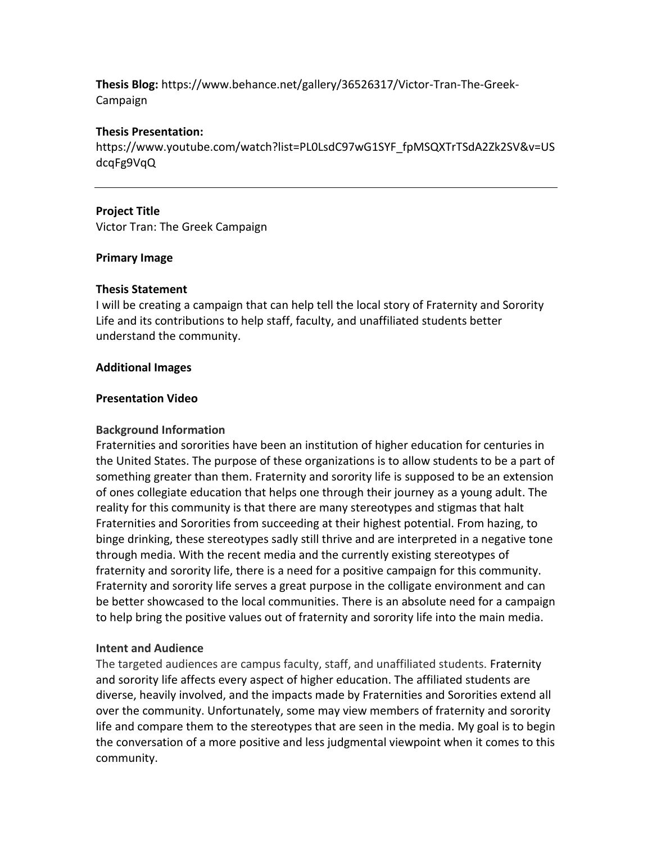**Thesis Blog:** https://www.behance.net/gallery/36526317/Victor-Tran-The-Greek-Campaign

## **Thesis Presentation:**

https://www.youtube.com/watch?list=PL0LsdC97wG1SYF\_fpMSQXTrTSdA2Zk2SV&v=US dcqFg9VqQ

# **Project Title**

Victor Tran: The Greek Campaign

# **Primary Image**

## **Thesis Statement**

I will be creating a campaign that can help tell the local story of Fraternity and Sorority Life and its contributions to help staff, faculty, and unaffiliated students better understand the community.

# **Additional Images**

## **Presentation Video**

## **Background Information**

Fraternities and sororities have been an institution of higher education for centuries in the United States. The purpose of these organizations is to allow students to be a part of something greater than them. Fraternity and sorority life is supposed to be an extension of ones collegiate education that helps one through their journey as a young adult. The reality for this community is that there are many stereotypes and stigmas that halt Fraternities and Sororities from succeeding at their highest potential. From hazing, to binge drinking, these stereotypes sadly still thrive and are interpreted in a negative tone through media. With the recent media and the currently existing stereotypes of fraternity and sorority life, there is a need for a positive campaign for this community. Fraternity and sorority life serves a great purpose in the colligate environment and can be better showcased to the local communities. There is an absolute need for a campaign to help bring the positive values out of fraternity and sorority life into the main media.

# **Intent and Audience**

The targeted audiences are campus faculty, staff, and unaffiliated students. Fraternity and sorority life affects every aspect of higher education. The affiliated students are diverse, heavily involved, and the impacts made by Fraternities and Sororities extend all over the community. Unfortunately, some may view members of fraternity and sorority life and compare them to the stereotypes that are seen in the media. My goal is to begin the conversation of a more positive and less judgmental viewpoint when it comes to this community.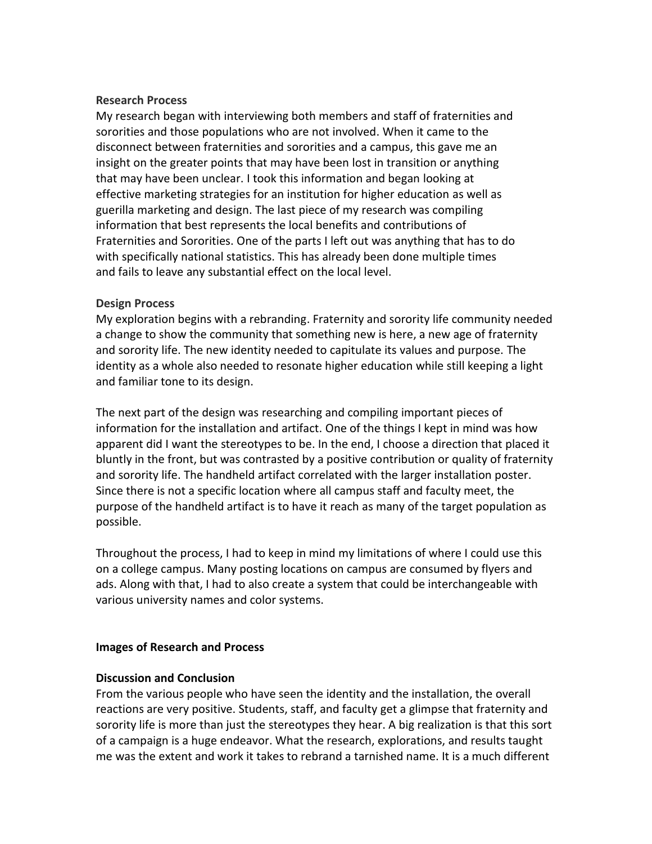#### **Research Process**

My research began with interviewing both members and staff of fraternities and sororities and those populations who are not involved. When it came to the disconnect between fraternities and sororities and a campus, this gave me an insight on the greater points that may have been lost in transition or anything that may have been unclear. I took this information and began looking at effective marketing strategies for an institution for higher education as well as guerilla marketing and design. The last piece of my research was compiling information that best represents the local benefits and contributions of Fraternities and Sororities. One of the parts I left out was anything that has to do with specifically national statistics. This has already been done multiple times and fails to leave any substantial effect on the local level.

#### **Design Process**

My exploration begins with a rebranding. Fraternity and sorority life community needed a change to show the community that something new is here, a new age of fraternity and sorority life. The new identity needed to capitulate its values and purpose. The identity as a whole also needed to resonate higher education while still keeping a light and familiar tone to its design.

The next part of the design was researching and compiling important pieces of information for the installation and artifact. One of the things I kept in mind was how apparent did I want the stereotypes to be. In the end, I choose a direction that placed it bluntly in the front, but was contrasted by a positive contribution or quality of fraternity and sorority life. The handheld artifact correlated with the larger installation poster. Since there is not a specific location where all campus staff and faculty meet, the purpose of the handheld artifact is to have it reach as many of the target population as possible.

Throughout the process, I had to keep in mind my limitations of where I could use this on a college campus. Many posting locations on campus are consumed by flyers and ads. Along with that, I had to also create a system that could be interchangeable with various university names and color systems.

## **Images of Research and Process**

## **Discussion and Conclusion**

From the various people who have seen the identity and the installation, the overall reactions are very positive. Students, staff, and faculty get a glimpse that fraternity and sorority life is more than just the stereotypes they hear. A big realization is that this sort of a campaign is a huge endeavor. What the research, explorations, and results taught me was the extent and work it takes to rebrand a tarnished name. It is a much different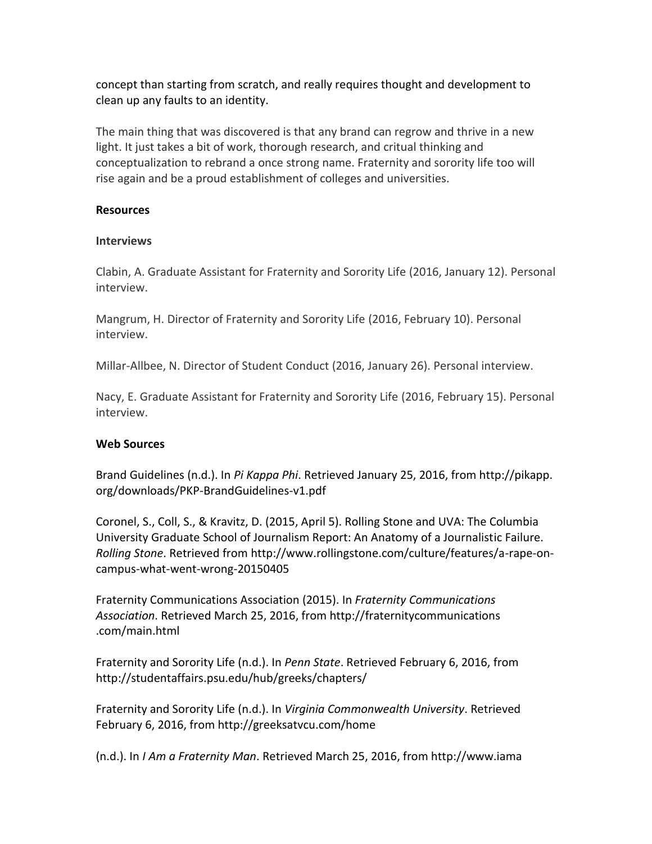concept than starting from scratch, and really requires thought and development to clean up any faults to an identity.

The main thing that was discovered is that any brand can regrow and thrive in a new light. It just takes a bit of work, thorough research, and critual thinking and conceptualization to rebrand a once strong name. Fraternity and sorority life too will rise again and be a proud establishment of colleges and universities.

## **Resources**

#### **Interviews**

Clabin, A. Graduate Assistant for Fraternity and Sorority Life (2016, January 12). Personal interview.

Mangrum, H. Director of Fraternity and Sorority Life (2016, February 10). Personal interview.

Millar-Allbee, N. Director of Student Conduct (2016, January 26). Personal interview.

Nacy, E. Graduate Assistant for Fraternity and Sorority Life (2016, February 15). Personal interview.

## **Web Sources**

Brand Guidelines (n.d.). In *Pi Kappa Phi*. Retrieved January 25, 2016, from http://pikapp. org/downloads/PKP-BrandGuidelines-v1.pdf

Coronel, S., Coll, S., & Kravitz, D. (2015, April 5). Rolling Stone and UVA: The Columbia University Graduate School of Journalism Report: An Anatomy of a Journalistic Failure. *Rolling Stone*. Retrieved from http://www.rollingstone.com/culture/features/a-rape-oncampus-what-went-wrong-20150405

Fraternity Communications Association (2015). In *Fraternity Communications Association*. Retrieved March 25, 2016, from http://fraternitycommunications .com/main.html

Fraternity and Sorority Life (n.d.). In *Penn State*. Retrieved February 6, 2016, from http://studentaffairs.psu.edu/hub/greeks/chapters/

Fraternity and Sorority Life (n.d.). In *Virginia Commonwealth University*. Retrieved February 6, 2016, from http://greeksatvcu.com/home

(n.d.). In *I Am a Fraternity Man*. Retrieved March 25, 2016, from http://www.iama